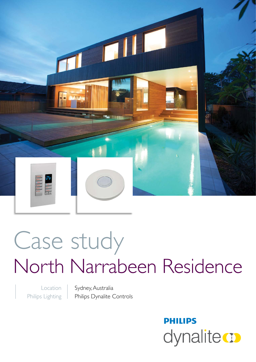

# Case study North Narrabeen Residence

Location Philips Lighting Sydney, Australia Philips Dynalite Controls

> **PHILIPS** dynalitect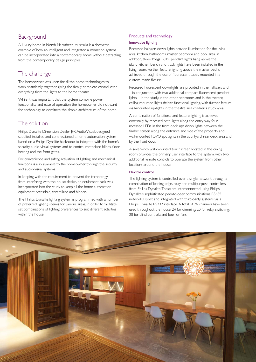## **Background**

A luxury home in North Narrabeen, Australia is a showcase example of how an intelligent and integrated automation system can be incorporated into a contemporary home without detracting from the contemporary design principles.

## The challenge

The homeowner was keen for all the home technologies to work seamlessly together giving the family complete control over everything from the lights to the home theatre.

While it was important that the system combine power, functionality and ease of operation the homeowner did not want the technology to dominate the simple architecture of the home.

## The solution

Philips Dynalite Dimension Dealer, JFK Audio Visual, designed, supplied, installed and commissioned a home automation system based on a Philips Dynalite backbone to integrate with the home's security, audio-visual systems and to control motorized blinds, floor heating and the front gates.

For convenience and safety, activation of lighting and mechanical functions is also available to the homeowner through the security and audio-visual systems.

In keeping with the requirement to prevent the technology from interfering with the house design, an equipment rack was incorporated into the study to keep all the home automation equipment accessible, centralized and hidden.

The Philips Dynalite lighting system is programmed with a number of preferred lighting scenes for various areas, in order to facilitate set combinations of lighting preferences to suit different activities within the house.

#### Products and technology

#### Innovative lighting

Recessed halogen down-lights provide illumination for the living area, kitchen, bathrooms, master bedroom and pool area. In addition, three 'Mega Bulbs' pendant lights hang above the island kitchen bench and track lights have been installed in the living room. Further feature lighting above the master bed is achieved through the use of fluorescent tubes mounted in a custom-made fixture.

Recessed fluorescent downlights are provided in the hallways and – in conjunction with two additional compact fluorescent pendant lights – in the study. In the other bedrooms and in the theater, ceiling mounted lights deliver functional lighting, with further feature wall-mounted up-lights in the theatre and children's study area.

A combination of functional and feature lighting is achieved externally by recessed path lights along the entry way, four recessed LEDs in the front deck, up/ down lights between the timber screen along the entrance and side of the property and wall-mounted TOVO spotlights in the courtyard, rear deck area and by the front door.

A seven-inch wall-mounted touchscreen located in the dining room provides the primary user interface to the system, with two additional remote controls to operate the system from other locations around the house.

#### Flexible control

The lighting system is controlled over a single network through a combination of leading edge, relay and multipurpose controllers from Philips Dynalite. These are interconnected using Philips Dynalite's sophisticated peer-to-peer communications RS485 network, Dynet and integrated with third-party systems via a Philips Dynalite RS232 interface. A total of 76 channels have been used throughout the house: 24 for dimming; 20 for relay switching; 28 for blind controls; and four for fans.

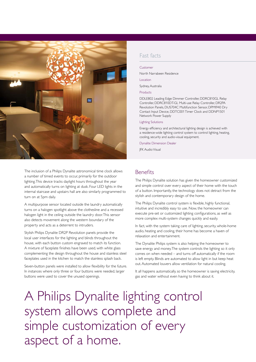

The inclusion of a Philips Dynalite astronomical time clock allows a number of timed events to occur, primarily for the outdoor lighting. This device tracks daylight hours throughout the year and automatically turns on lighting at dusk. Four LED lights in the internal staircase and upstairs hall are also similarly programmed to turn on at 5pm daily.

A multipurpose sensor located outside the laundry automatically turns on a halogen spotlight above the clothesline and a recessed halogen light in the ceiling outside the laundry door. This sensor also detects movement along the western boundary of the property and acts as a deterrent to intruders.

Stylish Philips Dynalite DR2P Revolution panels provide the local user interfaces for the lighting and blinds throughout the house, with each button custom engraved to match its function. A mixture of faceplate finishes have been used, with white glass complementing the design throughout the house and stainless steel faceplates used in the kitchen to match the stainless splash back.

Seven-button panels were installed to allow flexibility for the future. In instances where only three or four buttons were needed, larger buttons were used to cover the unused openings.

## Fast facts

#### Customer

North Narrabeen Residence

Location

Sydney, Australia

Products

DDLE802 Leading Edge Dimmer Controller, DDRC810GL Relay Controller, DDRC810DT-GL Multi-use Relay Controller, DR2PA Revolution Panels, DUS704C Multifunction Sensor, DPMI940 Dry Contact Input Device, DDTC001 Timer Clock and DDNP1501 Network Power Supply

#### Lighting Solutions

Energy efficiency and architectural lighting design is achieved with a residence-wide lighting control system to control lighting, heating, cooling, security and audio-visual equipment.

Dynalite Dimension Dealer

JFK Audio Visual

## Benefits

The Philips Dynalite solution has given the homeowner customized and simple control over every aspect of their home with the touch of a button. Importantly, the technology does not detract from the stylish and contemporary design of the home.

The Philips Dynalite control system is flexible, highly functional, intuitive and incredibly easy to use. Now, the homeowner can execute pre-set or customized lighting configurations, as well as more complex multi-system changes quickly and easily.

In fact, with the system taking care of lighting, security, whole-home audio, heating and cooling, their home has become a haven of relaxation and entertainment.

The Dynalite Philips system is also helping the homeowner to save energy and money. The system controls the lighting so it only comes on when needed – and turns off automatically if the room is left empty. Blinds are automated to allow light in but keep heat out. Automated louvers allow ventilation for natural cooling.

It all happens automatically, so the homeowner is saving electricity, gas and water without even having to think about it.

A Philips Dynalite lighting control system allows complete and simple customization of every aspect of a home.